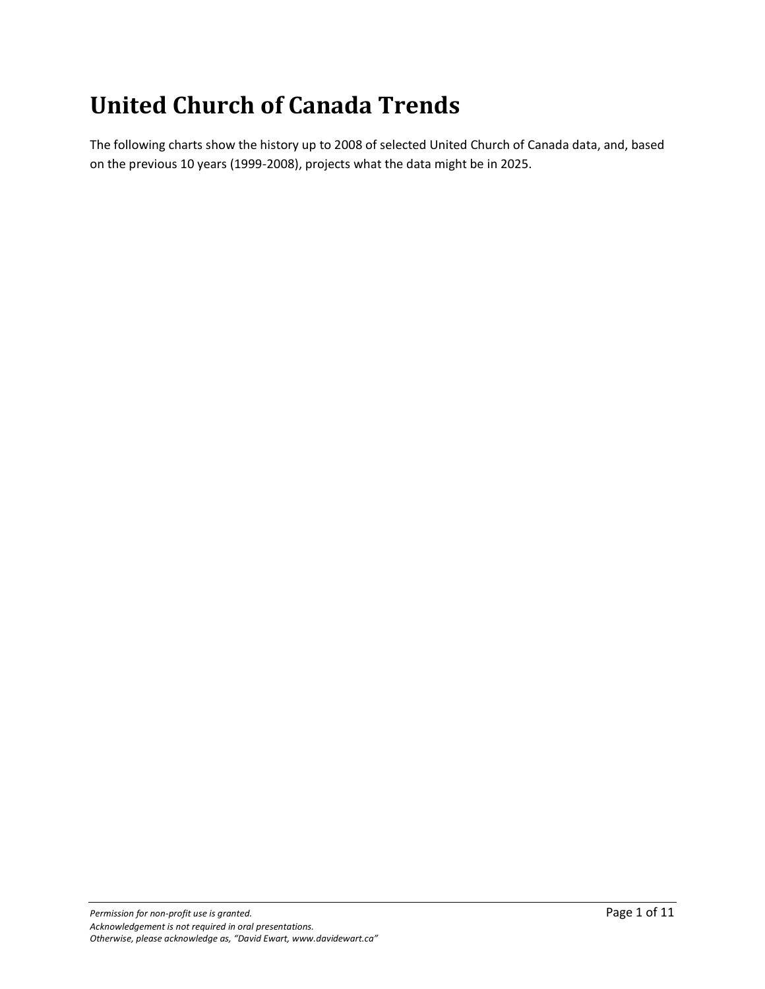# **United Church of Canada Trends**

The following charts show the history up to 2008 of selected United Church of Canada data, and, based on the previous 10 years (1999-2008), projects what the data might be in 2025.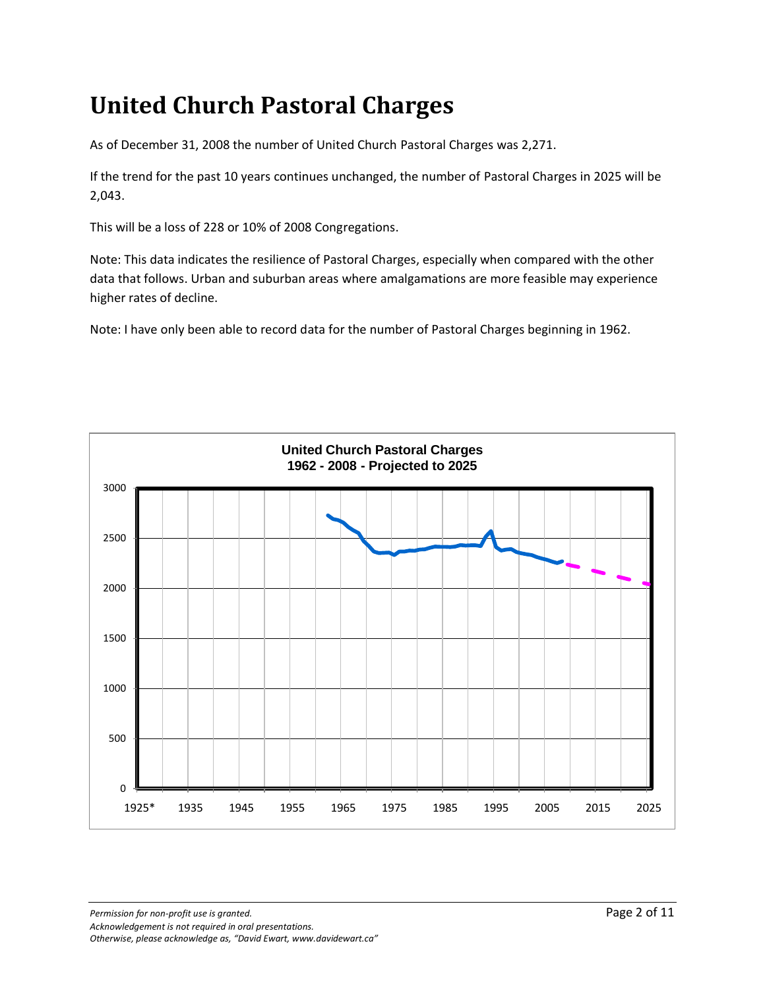#### **United Church Pastoral Charges**

As of December 31, 2008 the number of United Church Pastoral Charges was 2,271.

If the trend for the past 10 years continues unchanged, the number of Pastoral Charges in 2025 will be 2,043.

This will be a loss of 228 or 10% of 2008 Congregations.

Note: This data indicates the resilience of Pastoral Charges, especially when compared with the other data that follows. Urban and suburban areas where amalgamations are more feasible may experience higher rates of decline.

Note: I have only been able to record data for the number of Pastoral Charges beginning in 1962.

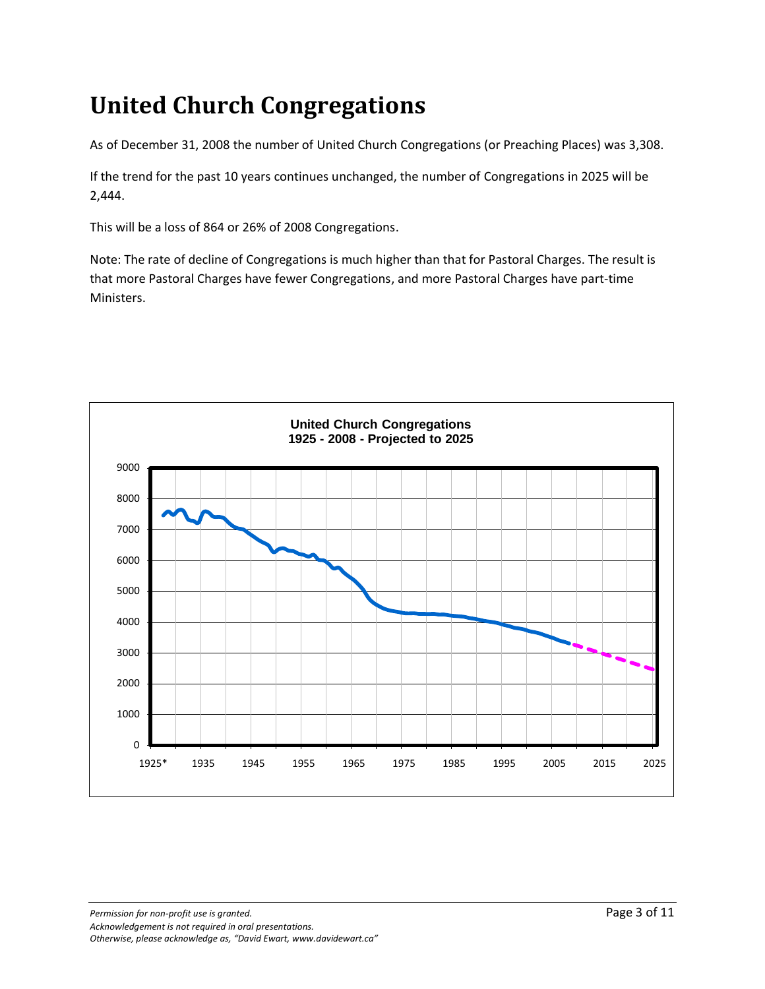# **United Church Congregations**

As of December 31, 2008 the number of United Church Congregations (or Preaching Places) was 3,308.

If the trend for the past 10 years continues unchanged, the number of Congregations in 2025 will be 2,444.

This will be a loss of 864 or 26% of 2008 Congregations.

Note: The rate of decline of Congregations is much higher than that for Pastoral Charges. The result is that more Pastoral Charges have fewer Congregations, and more Pastoral Charges have part-time Ministers.

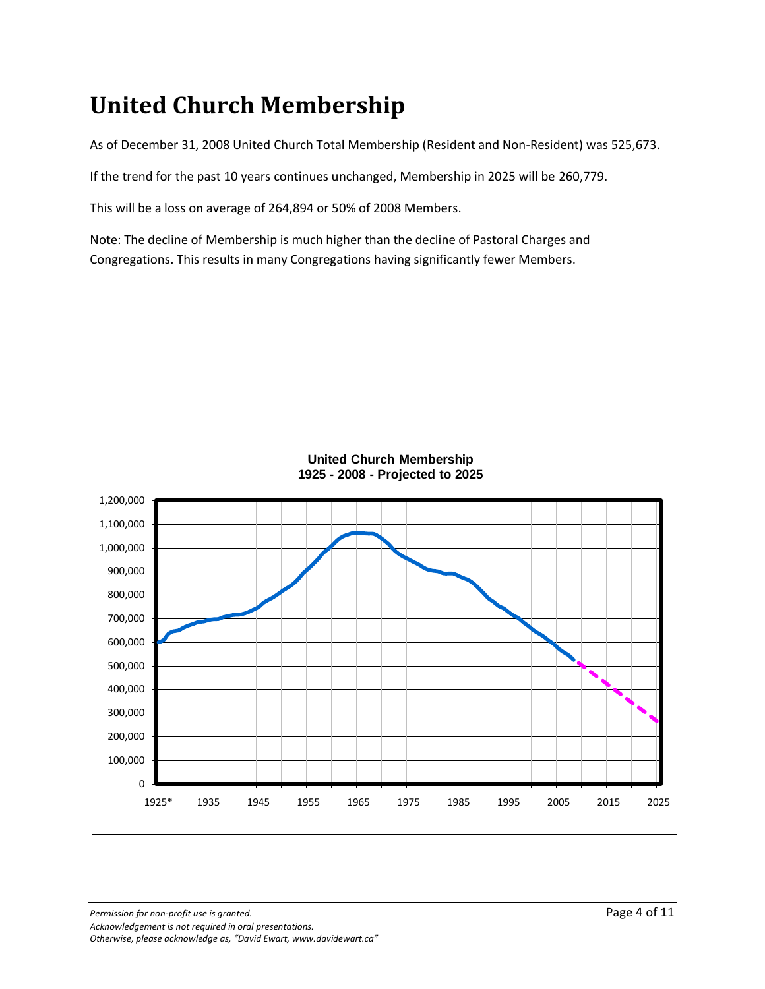## **United Church Membership**

As of December 31, 2008 United Church Total Membership (Resident and Non-Resident) was 525,673.

If the trend for the past 10 years continues unchanged, Membership in 2025 will be 260,779.

This will be a loss on average of 264,894 or 50% of 2008 Members.

Note: The decline of Membership is much higher than the decline of Pastoral Charges and Congregations. This results in many Congregations having significantly fewer Members.

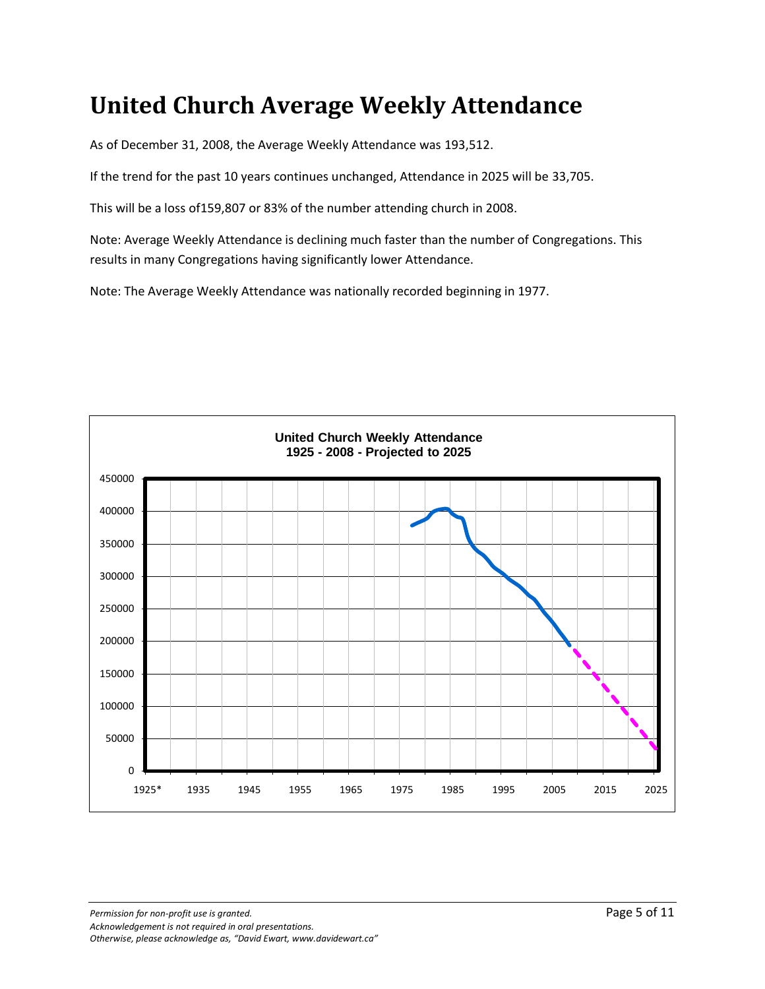#### **United Church Average Weekly Attendance**

As of December 31, 2008, the Average Weekly Attendance was 193,512.

If the trend for the past 10 years continues unchanged, Attendance in 2025 will be 33,705.

This will be a loss of159,807 or 83% of the number attending church in 2008.

Note: Average Weekly Attendance is declining much faster than the number of Congregations. This results in many Congregations having significantly lower Attendance.

Note: The Average Weekly Attendance was nationally recorded beginning in 1977.

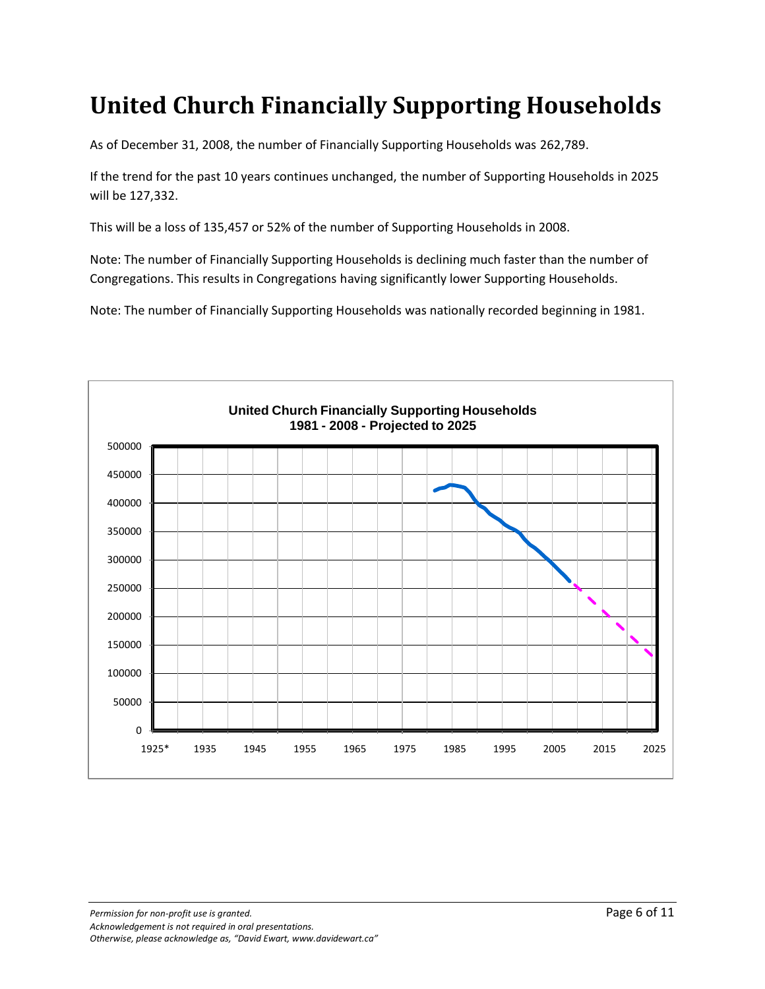### **United Church Financially Supporting Households**

As of December 31, 2008, the number of Financially Supporting Households was 262,789.

If the trend for the past 10 years continues unchanged, the number of Supporting Households in 2025 will be 127,332.

This will be a loss of 135,457 or 52% of the number of Supporting Households in 2008.

Note: The number of Financially Supporting Households is declining much faster than the number of Congregations. This results in Congregations having significantly lower Supporting Households.

Note: The number of Financially Supporting Households was nationally recorded beginning in 1981.

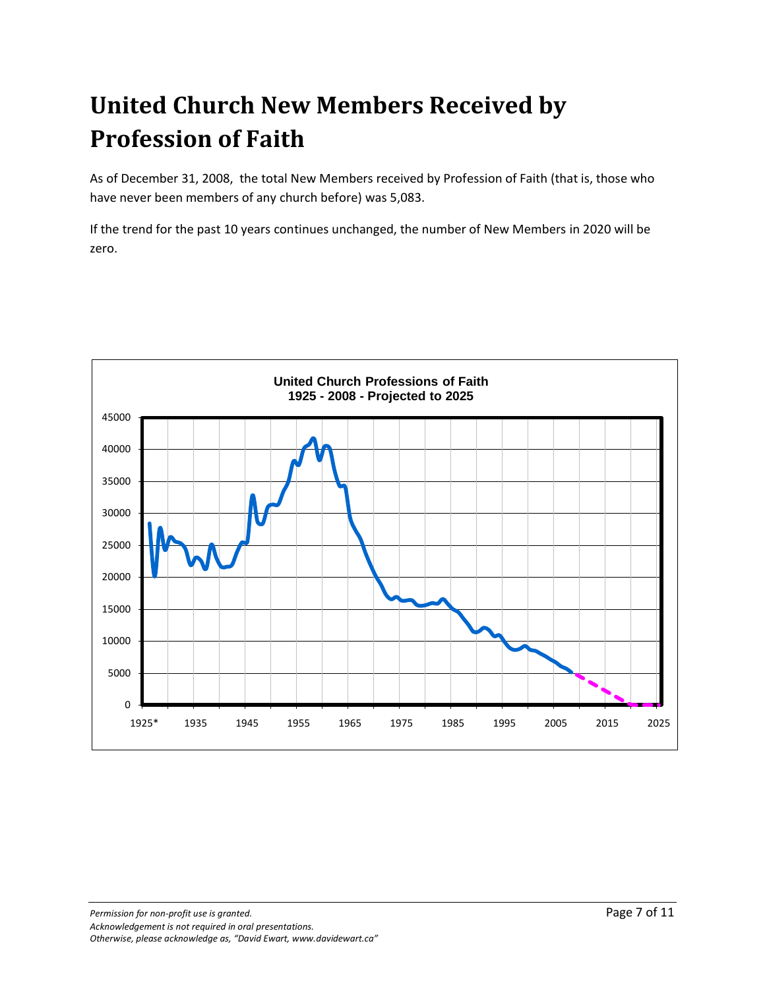# **United Church New Members Received by Profession of Faith**

As of December 31, 2008, the total New Members received by Profession of Faith (that is, those who have never been members of any church before) was 5,083.

If the trend for the past 10 years continues unchanged, the number of New Members in 2020 will be zero.

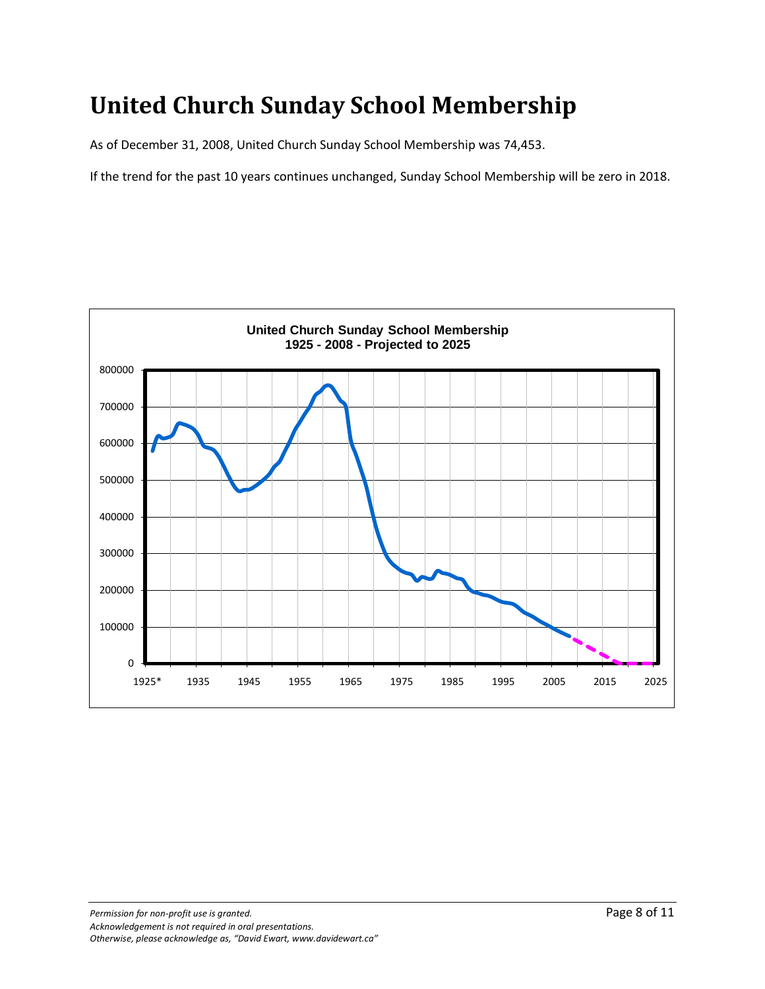### **United Church Sunday School Membership**

As of December 31, 2008, United Church Sunday School Membership was 74,453.

If the trend for the past 10 years continues unchanged, Sunday School Membership will be zero in 2018.

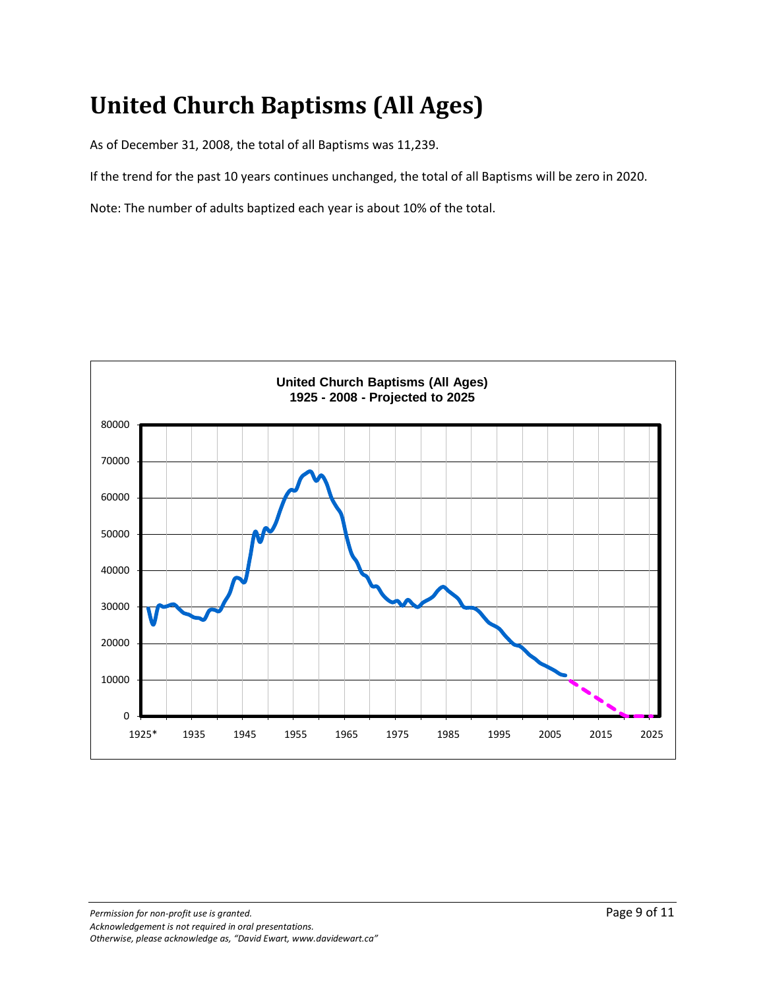## **United Church Baptisms (All Ages)**

As of December 31, 2008, the total of all Baptisms was 11,239.

If the trend for the past 10 years continues unchanged, the total of all Baptisms will be zero in 2020.

Note: The number of adults baptized each year is about 10% of the total.

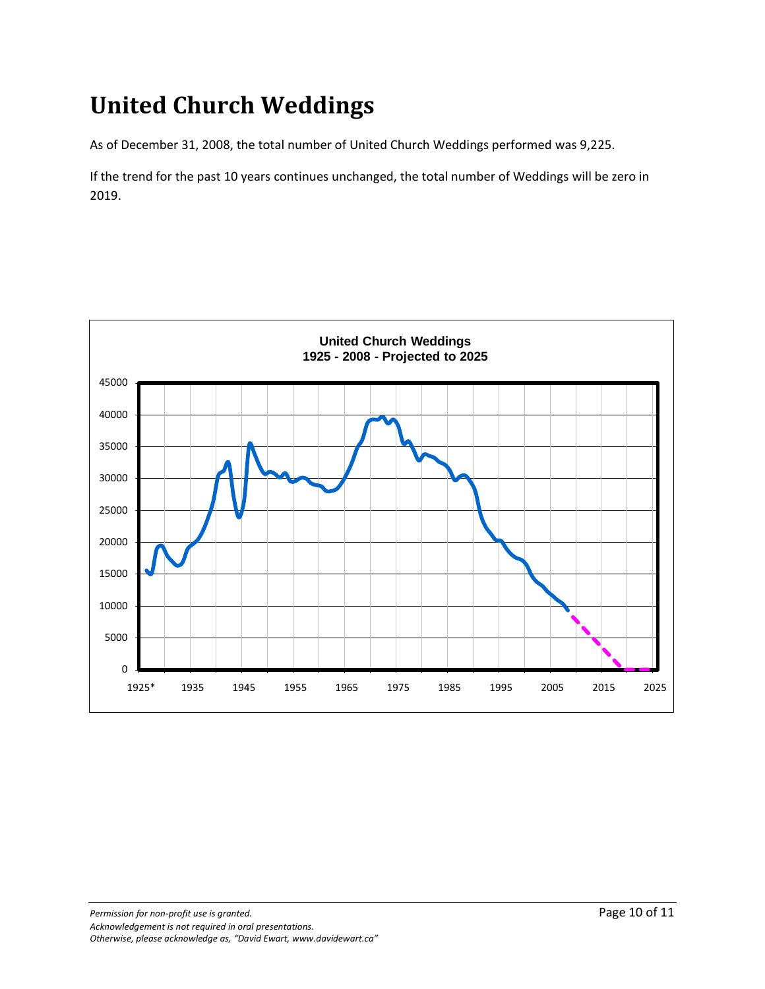## **United Church Weddings**

As of December 31, 2008, the total number of United Church Weddings performed was 9,225.

If the trend for the past 10 years continues unchanged, the total number of Weddings will be zero in 2019.